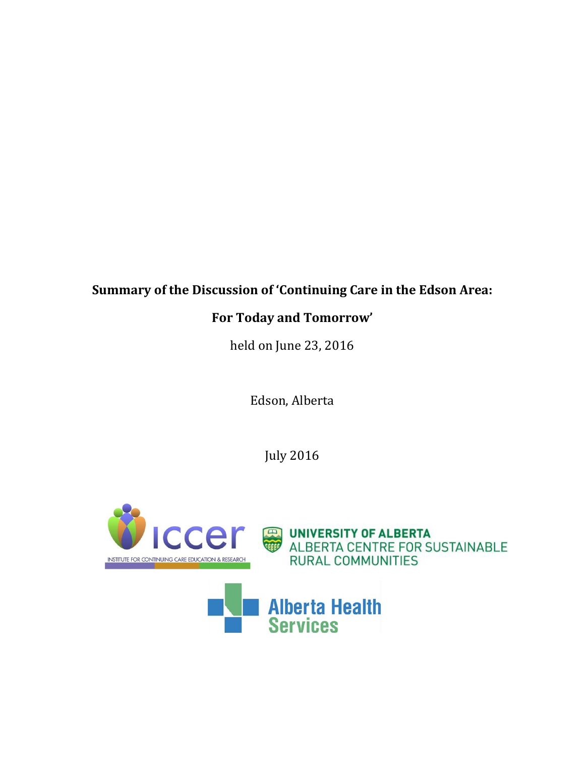# **Summary of the Discussion of 'Continuing Care in the Edson Area:**

# **For Today and Tomorrow'**

held on June 23, 2016

Edson, Alberta

July 2016

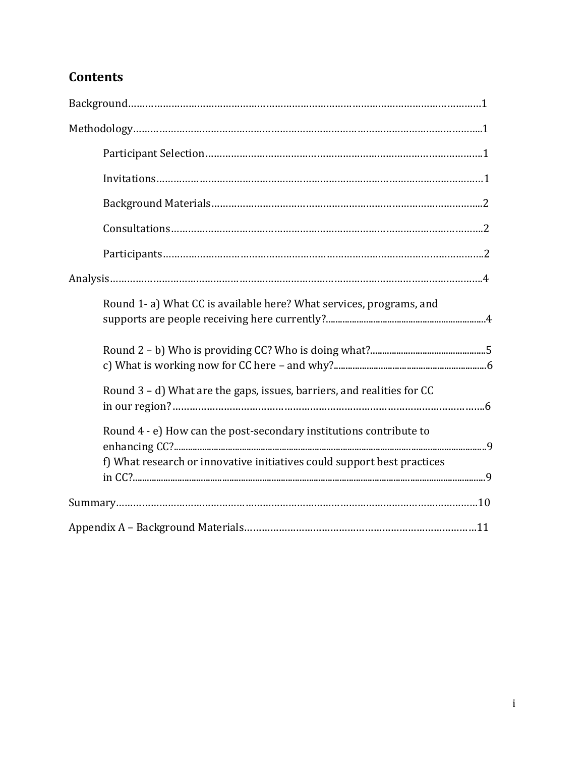# **Contents**

| Round 1-a) What CC is available here? What services, programs, and      |
|-------------------------------------------------------------------------|
|                                                                         |
| Round 3 - d) What are the gaps, issues, barriers, and realities for CC  |
| Round 4 - e) How can the post-secondary institutions contribute to      |
| f) What research or innovative initiatives could support best practices |
|                                                                         |
|                                                                         |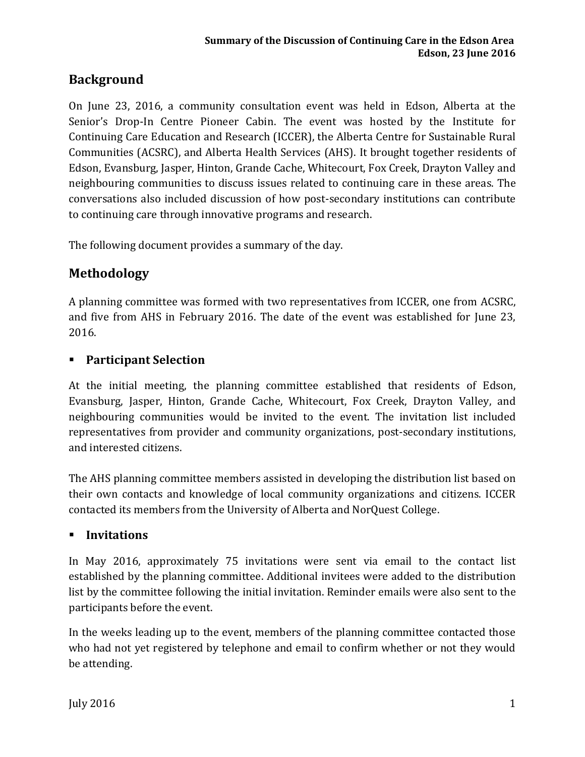# **Background**

On June 23, 2016, a community consultation event was held in Edson, Alberta at the Senior's Drop-In Centre Pioneer Cabin. The event was hosted by the Institute for Continuing Care Education and Research (ICCER), the Alberta Centre for Sustainable Rural Communities (ACSRC), and Alberta Health Services (AHS). It brought together residents of Edson, Evansburg, Jasper, Hinton, Grande Cache, Whitecourt, Fox Creek, Drayton Valley and neighbouring communities to discuss issues related to continuing care in these areas. The conversations also included discussion of how post-secondary institutions can contribute to continuing care through innovative programs and research.

The following document provides a summary of the day.

# **Methodology**

A planning committee was formed with two representatives from ICCER, one from ACSRC, and five from AHS in February 2016. The date of the event was established for June 23, 2016.

### **Participant Selection**

At the initial meeting, the planning committee established that residents of Edson, Evansburg, Jasper, Hinton, Grande Cache, Whitecourt, Fox Creek, Drayton Valley, and neighbouring communities would be invited to the event. The invitation list included representatives from provider and community organizations, post-secondary institutions, and interested citizens.

The AHS planning committee members assisted in developing the distribution list based on their own contacts and knowledge of local community organizations and citizens. ICCER contacted its members from the University of Alberta and NorQuest College.

### **Invitations**

In May 2016, approximately 75 invitations were sent via email to the contact list established by the planning committee. Additional invitees were added to the distribution list by the committee following the initial invitation. Reminder emails were also sent to the participants before the event.

In the weeks leading up to the event, members of the planning committee contacted those who had not yet registered by telephone and email to confirm whether or not they would be attending.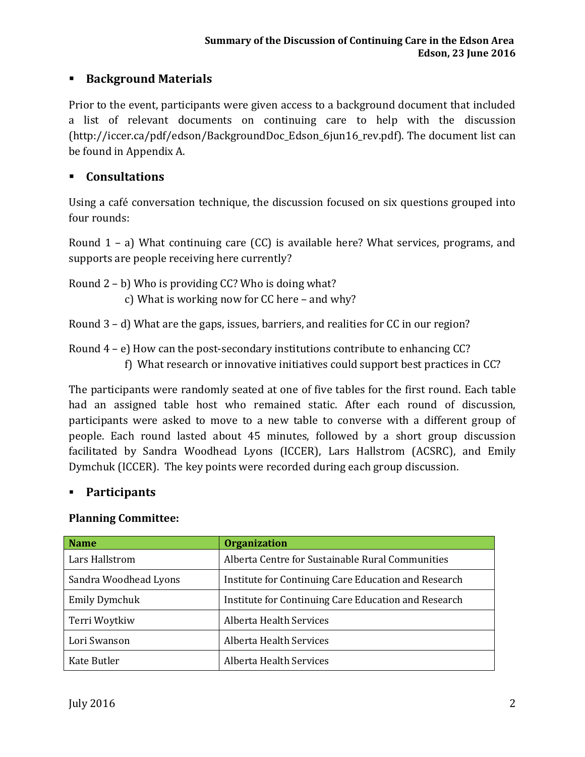# **Background Materials**

Prior to the event, participants were given access to a background document that included a list of relevant documents on continuing care to help with the discussion (http://iccer.ca/pdf/edson/BackgroundDoc\_Edson\_6jun16\_rev.pdf). The document list can be found in Appendix A.

### **Consultations**

Using a café conversation technique, the discussion focused on six questions grouped into four rounds:

Round 1 – a) What continuing care (CC) is available here? What services, programs, and supports are people receiving here currently?

Round 2 – b) Who is providing CC? Who is doing what? c) What is working now for CC here – and why?

Round 3 – d) What are the gaps, issues, barriers, and realities for CC in our region?

Round  $4 - e$ ) How can the post-secondary institutions contribute to enhancing CC?

f) What research or innovative initiatives could support best practices in CC?

The participants were randomly seated at one of five tables for the first round. Each table had an assigned table host who remained static. After each round of discussion, participants were asked to move to a new table to converse with a different group of people. Each round lasted about 45 minutes, followed by a short group discussion facilitated by Sandra Woodhead Lyons (ICCER), Lars Hallstrom (ACSRC), and Emily Dymchuk (ICCER). The key points were recorded during each group discussion.

### **Participants**

#### **Planning Committee:**

| <b>Name</b>           | <b>Organization</b>                                  |  |
|-----------------------|------------------------------------------------------|--|
| Lars Hallstrom        | Alberta Centre for Sustainable Rural Communities     |  |
| Sandra Woodhead Lyons | Institute for Continuing Care Education and Research |  |
| Emily Dymchuk         | Institute for Continuing Care Education and Research |  |
| Terri Woytkiw         | Alberta Health Services                              |  |
| Lori Swanson          | Alberta Health Services                              |  |
| Kate Butler           | Alberta Health Services                              |  |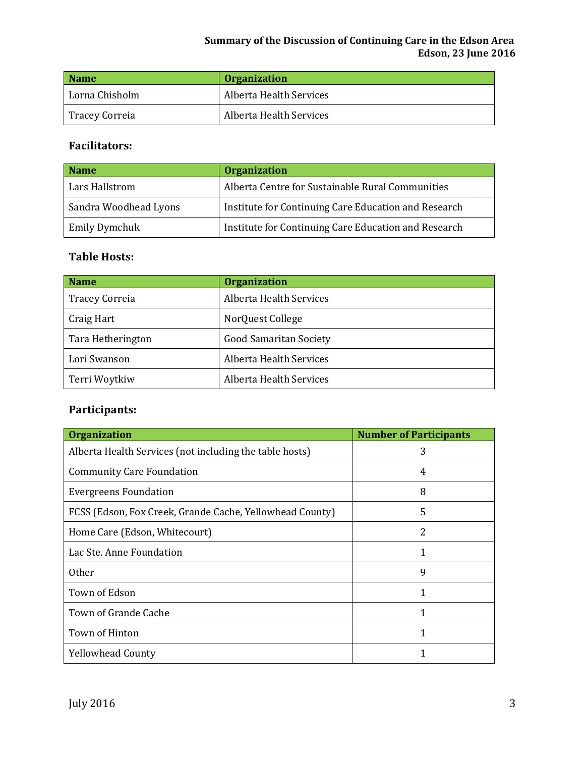#### **Summary of the Discussion of Continuing Care in the Edson Area Edson, 23 June 2016**

| <b>Name</b>    | <b>Organization</b>     |
|----------------|-------------------------|
| Lorna Chisholm | Alberta Health Services |
| Tracey Correia | Alberta Health Services |

# **Facilitators:**

| <b>Name</b>           | <b>Organization</b>                                  |
|-----------------------|------------------------------------------------------|
| Lars Hallstrom        | Alberta Centre for Sustainable Rural Communities     |
| Sandra Woodhead Lyons | Institute for Continuing Care Education and Research |
| Emily Dymchuk         | Institute for Continuing Care Education and Research |

### **Table Hosts:**

| <b>Name</b>           | <b>Organization</b>           |
|-----------------------|-------------------------------|
| <b>Tracey Correia</b> | Alberta Health Services       |
| Craig Hart            | NorQuest College              |
| Tara Hetherington     | <b>Good Samaritan Society</b> |
| Lori Swanson          | Alberta Health Services       |
| Terri Woytkiw         | Alberta Health Services       |

# **Participants:**

| <b>Organization</b>                                      | <b>Number of Participants</b> |
|----------------------------------------------------------|-------------------------------|
| Alberta Health Services (not including the table hosts)  | 3                             |
| <b>Community Care Foundation</b>                         | 4                             |
| <b>Evergreens Foundation</b>                             | 8                             |
| FCSS (Edson, Fox Creek, Grande Cache, Yellowhead County) | 5                             |
| Home Care (Edson, Whitecourt)                            | 2                             |
| Lac Ste. Anne Foundation                                 | 1                             |
| 0ther                                                    | 9                             |
| Town of Edson                                            | 1                             |
| Town of Grande Cache                                     | 1                             |
| Town of Hinton                                           |                               |
| <b>Yellowhead County</b>                                 |                               |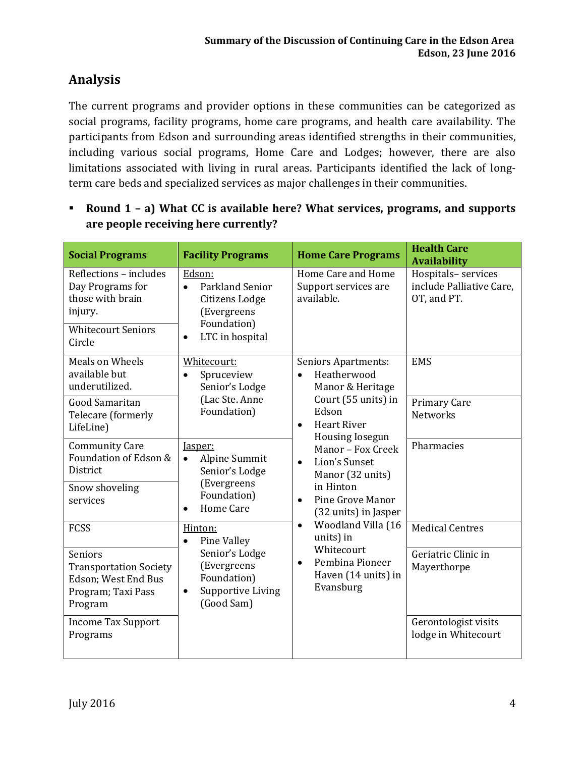# **Analysis**

The current programs and provider options in these communities can be categorized as social programs, facility programs, home care programs, and health care availability. The participants from Edson and surrounding areas identified strengths in their communities, including various social programs, Home Care and Lodges; however, there are also limitations associated with living in rural areas. Participants identified the lack of longterm care beds and specialized services as major challenges in their communities.

 **Round 1 – a) What CC is available here? What services, programs, and supports are people receiving here currently?**

| <b>Social Programs</b>                                                                                           | <b>Facility Programs</b>                                                                                                      | <b>Home Care Programs</b>                                                          | <b>Health Care</b><br><b>Availability</b>                     |
|------------------------------------------------------------------------------------------------------------------|-------------------------------------------------------------------------------------------------------------------------------|------------------------------------------------------------------------------------|---------------------------------------------------------------|
| Reflections - includes<br>Day Programs for<br>those with brain<br>injury.<br><b>Whitecourt Seniors</b><br>Circle | Edson:<br><b>Parkland Senior</b><br>$\bullet$<br>Citizens Lodge<br>(Evergreens<br>Foundation)<br>LTC in hospital<br>$\bullet$ | Home Care and Home<br>Support services are<br>available.                           | Hospitals-services<br>include Palliative Care,<br>OT, and PT. |
| <b>Meals on Wheels</b><br>available but<br>underutilized.                                                        | Whitecourt:<br>Spruceview<br>Senior's Lodge                                                                                   | <b>Seniors Apartments:</b><br>Heatherwood<br>$\bullet$<br>Manor & Heritage         | <b>EMS</b>                                                    |
| <b>Good Samaritan</b><br>Telecare (formerly<br>LifeLine)                                                         | (Lac Ste. Anne<br>Foundation)                                                                                                 | Court (55 units) in<br>Edson<br><b>Heart River</b><br>$\bullet$<br>Housing Iosegun | <b>Primary Care</b><br><b>Networks</b>                        |
| <b>Community Care</b><br>Foundation of Edson &<br>District                                                       | Jasper:<br>Alpine Summit<br>$\bullet$<br>Senior's Lodge                                                                       | Manor - Fox Creek<br>Lion's Sunset<br>$\bullet$<br>Manor (32 units)                | Pharmacies                                                    |
| Snow shoveling<br>services                                                                                       | (Evergreens<br>Foundation)<br>Home Care                                                                                       | in Hinton<br>Pine Grove Manor<br>$\bullet$<br>(32 units) in Jasper                 |                                                               |
| <b>FCSS</b>                                                                                                      | Hinton:<br>Pine Valley<br>$\bullet$                                                                                           | Woodland Villa (16<br>$\bullet$<br>units) in                                       | <b>Medical Centres</b>                                        |
| <b>Seniors</b><br><b>Transportation Society</b><br>Edson; West End Bus<br>Program; Taxi Pass<br>Program          | Senior's Lodge<br>(Evergreens<br>Foundation)<br><b>Supportive Living</b><br>$\bullet$<br>(Good Sam)                           | Whitecourt<br>Pembina Pioneer<br>$\bullet$<br>Haven (14 units) in<br>Evansburg     | Geriatric Clinic in<br>Mayerthorpe                            |
| <b>Income Tax Support</b><br>Programs                                                                            |                                                                                                                               |                                                                                    | Gerontologist visits<br>lodge in Whitecourt                   |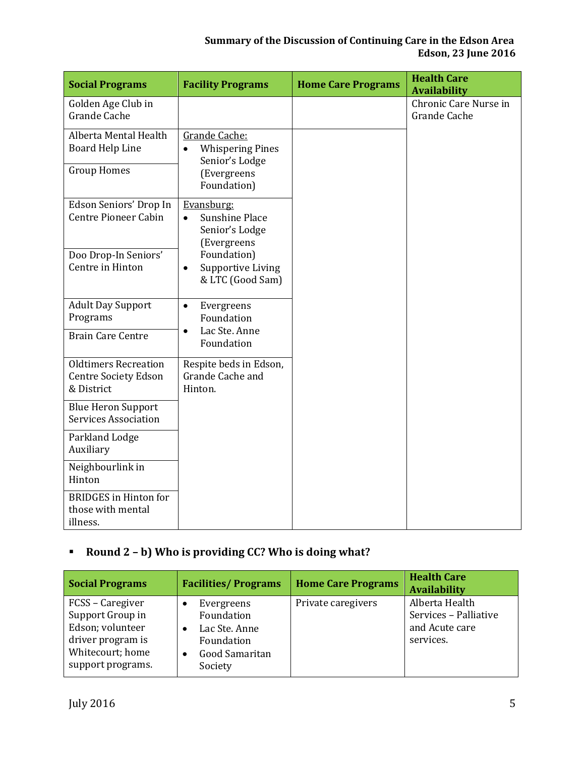| <b>Social Programs</b>                                                   | <b>Facility Programs</b>                                                                              | <b>Home Care Programs</b> | <b>Health Care</b><br><b>Availability</b> |
|--------------------------------------------------------------------------|-------------------------------------------------------------------------------------------------------|---------------------------|-------------------------------------------|
| Golden Age Club in<br><b>Grande Cache</b>                                |                                                                                                       |                           | Chronic Care Nurse in<br>Grande Cache     |
| Alberta Mental Health<br><b>Board Help Line</b><br><b>Group Homes</b>    | Grande Cache:<br><b>Whispering Pines</b><br>$\bullet$<br>Senior's Lodge<br>(Evergreens<br>Foundation) |                           |                                           |
| Edson Seniors' Drop In<br><b>Centre Pioneer Cabin</b>                    | Evansburg:<br><b>Sunshine Place</b><br>$\bullet$<br>Senior's Lodge<br>(Evergreens                     |                           |                                           |
| Doo Drop-In Seniors'<br>Centre in Hinton                                 | Foundation)<br><b>Supportive Living</b><br>$\bullet$<br>& LTC (Good Sam)                              |                           |                                           |
| <b>Adult Day Support</b><br>Programs                                     | Evergreens<br>$\bullet$<br>Foundation                                                                 |                           |                                           |
| <b>Brain Care Centre</b>                                                 | Lac Ste. Anne<br>$\bullet$<br>Foundation                                                              |                           |                                           |
| <b>Oldtimers Recreation</b><br><b>Centre Society Edson</b><br>& District | Respite beds in Edson,<br>Grande Cache and<br>Hinton.                                                 |                           |                                           |
| <b>Blue Heron Support</b><br><b>Services Association</b>                 |                                                                                                       |                           |                                           |
| Parkland Lodge<br>Auxiliary                                              |                                                                                                       |                           |                                           |
| Neighbourlink in<br>Hinton                                               |                                                                                                       |                           |                                           |
| <b>BRIDGES</b> in Hinton for<br>those with mental<br>illness.            |                                                                                                       |                           |                                           |

### **Round 2 – b) Who is providing CC? Who is doing what?**

| <b>Social Programs</b>                                                                                                 | <b>Facilities/Programs</b>                                                                                          | <b>Home Care Programs</b> | <b>Health Care</b><br><b>Availability</b>                              |
|------------------------------------------------------------------------------------------------------------------------|---------------------------------------------------------------------------------------------------------------------|---------------------------|------------------------------------------------------------------------|
| FCSS - Caregiver<br>Support Group in<br>Edson; volunteer<br>driver program is<br>Whitecourt; home<br>support programs. | Evergreens<br>٠<br>Foundation<br>Lac Ste. Anne<br>$\bullet$<br>Foundation<br>Good Samaritan<br>$\bullet$<br>Society | Private caregivers        | Alberta Health<br>Services - Palliative<br>and Acute care<br>services. |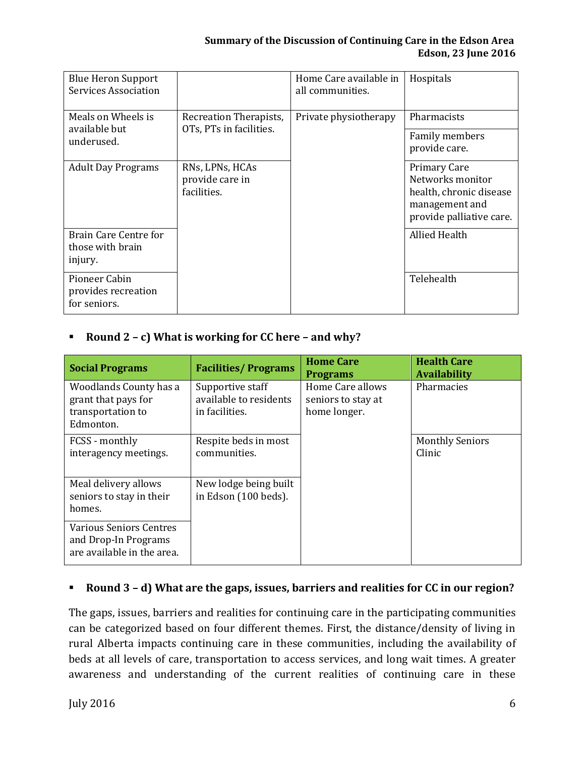| <b>Blue Heron Support</b><br><b>Services Association</b> |                                                   | Home Care available in<br>all communities. | Hospitals                                                                                                        |
|----------------------------------------------------------|---------------------------------------------------|--------------------------------------------|------------------------------------------------------------------------------------------------------------------|
| Meals on Wheels is                                       | Recreation Therapists,                            | Private physiotherapy                      | <b>Pharmacists</b>                                                                                               |
| available but<br>underused.                              | OTs, PTs in facilities.                           |                                            | Family members<br>provide care.                                                                                  |
| <b>Adult Day Programs</b>                                | RNs, LPNs, HCAs<br>provide care in<br>facilities. |                                            | <b>Primary Care</b><br>Networks monitor<br>health, chronic disease<br>management and<br>provide palliative care. |
| Brain Care Centre for<br>those with brain<br>injury.     |                                                   |                                            | Allied Health                                                                                                    |
| Pioneer Cabin<br>provides recreation<br>for seniors.     |                                                   |                                            | Telehealth                                                                                                       |

### **Round 2 – c) What is working for CC here – and why?**

| <b>Social Programs</b>                                                               | <b>Facilities/Programs</b>                                   | <b>Home Care</b><br><b>Programs</b>                    | <b>Health Care</b><br><b>Availability</b> |
|--------------------------------------------------------------------------------------|--------------------------------------------------------------|--------------------------------------------------------|-------------------------------------------|
| Woodlands County has a<br>grant that pays for<br>transportation to<br>Edmonton.      | Supportive staff<br>available to residents<br>in facilities. | Home Care allows<br>seniors to stay at<br>home longer. | Pharmacies                                |
| FCSS - monthly<br>interagency meetings.                                              | Respite beds in most<br>communities.                         |                                                        | <b>Monthly Seniors</b><br>Clinic          |
| Meal delivery allows<br>seniors to stay in their<br>homes.                           | New lodge being built<br>in Edson (100 beds).                |                                                        |                                           |
| <b>Various Seniors Centres</b><br>and Drop-In Programs<br>are available in the area. |                                                              |                                                        |                                           |

#### **Round 3 – d) What are the gaps, issues, barriers and realities for CC in our region?**

The gaps, issues, barriers and realities for continuing care in the participating communities can be categorized based on four different themes. First, the distance/density of living in rural Alberta impacts continuing care in these communities, including the availability of beds at all levels of care, transportation to access services, and long wait times. A greater awareness and understanding of the current realities of continuing care in these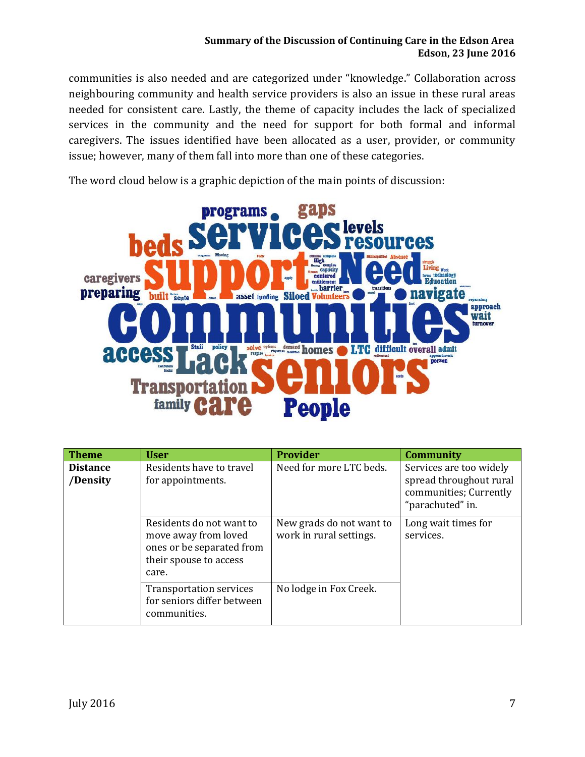#### **Summary of the Discussion of Continuing Care in the Edson Area Edson, 23 June 2016**

communities is also needed and are categorized under "knowledge." Collaboration across neighbouring community and health service providers is also an issue in these rural areas needed for consistent care. Lastly, the theme of capacity includes the lack of specialized services in the community and the need for support for both formal and informal caregivers. The issues identified have been allocated as a user, provider, or community issue; however, many of them fall into more than one of these categories.

The word cloud below is a graphic depiction of the main points of discussion:



| <b>Theme</b>                | <b>User</b>                                                                                                      | <b>Provider</b>                                     | <b>Community</b>                                                                                 |
|-----------------------------|------------------------------------------------------------------------------------------------------------------|-----------------------------------------------------|--------------------------------------------------------------------------------------------------|
| <b>Distance</b><br>/Density | Residents have to travel<br>for appointments.                                                                    | Need for more LTC beds.                             | Services are too widely<br>spread throughout rural<br>communities; Currently<br>"parachuted" in. |
|                             | Residents do not want to<br>move away from loved<br>ones or be separated from<br>their spouse to access<br>care. | New grads do not want to<br>work in rural settings. | Long wait times for<br>services.                                                                 |
|                             | <b>Transportation services</b><br>for seniors differ between<br>communities.                                     | No lodge in Fox Creek.                              |                                                                                                  |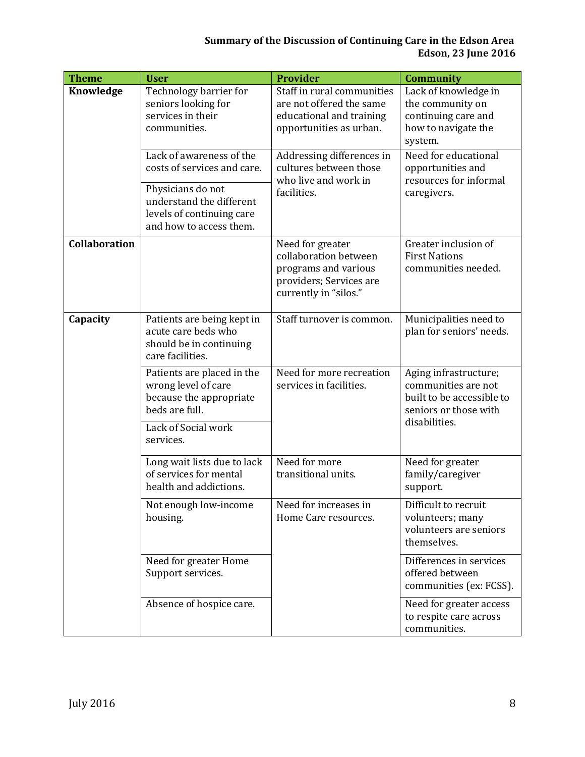#### **Summary of the Discussion of Continuing Care in the Edson Area Edson, 23 June 2016**

| <b>Theme</b>  | <b>User</b>                                                                                                                                                      | <b>Provider</b>                                                                                                       | <b>Community</b>                                                                                   |
|---------------|------------------------------------------------------------------------------------------------------------------------------------------------------------------|-----------------------------------------------------------------------------------------------------------------------|----------------------------------------------------------------------------------------------------|
| Knowledge     | Technology barrier for<br>seniors looking for<br>services in their<br>communities.                                                                               | Staff in rural communities<br>are not offered the same<br>educational and training<br>opportunities as urban.         | Lack of knowledge in<br>the community on<br>continuing care and<br>how to navigate the<br>system.  |
|               | Lack of awareness of the<br>costs of services and care.<br>Physicians do not<br>understand the different<br>levels of continuing care<br>and how to access them. | Addressing differences in<br>cultures between those<br>who live and work in<br>facilities.                            | Need for educational<br>opportunities and<br>resources for informal<br>caregivers.                 |
| Collaboration |                                                                                                                                                                  | Need for greater<br>collaboration between<br>programs and various<br>providers; Services are<br>currently in "silos." | Greater inclusion of<br><b>First Nations</b><br>communities needed.                                |
| Capacity      | Patients are being kept in<br>acute care beds who<br>should be in continuing<br>care facilities.                                                                 | Staff turnover is common.                                                                                             | Municipalities need to<br>plan for seniors' needs.                                                 |
|               | Patients are placed in the<br>wrong level of care<br>because the appropriate<br>beds are full.                                                                   | Need for more recreation<br>services in facilities.                                                                   | Aging infrastructure;<br>communities are not<br>built to be accessible to<br>seniors or those with |
|               | Lack of Social work<br>services.                                                                                                                                 |                                                                                                                       | disabilities.                                                                                      |
|               | Long wait lists due to lack<br>of services for mental<br>health and addictions.                                                                                  | Need for more<br>transitional units.                                                                                  | Need for greater<br>family/caregiver<br>support.                                                   |
|               | Not enough low-income<br>housing.                                                                                                                                | Need for increases in<br>Home Care resources.                                                                         | Difficult to recruit<br>volunteers; many<br>volunteers are seniors<br>themselves.                  |
|               | Need for greater Home<br>Support services.                                                                                                                       |                                                                                                                       | Differences in services<br>offered between<br>communities (ex: FCSS).                              |
|               | Absence of hospice care.                                                                                                                                         |                                                                                                                       | Need for greater access<br>to respite care across<br>communities.                                  |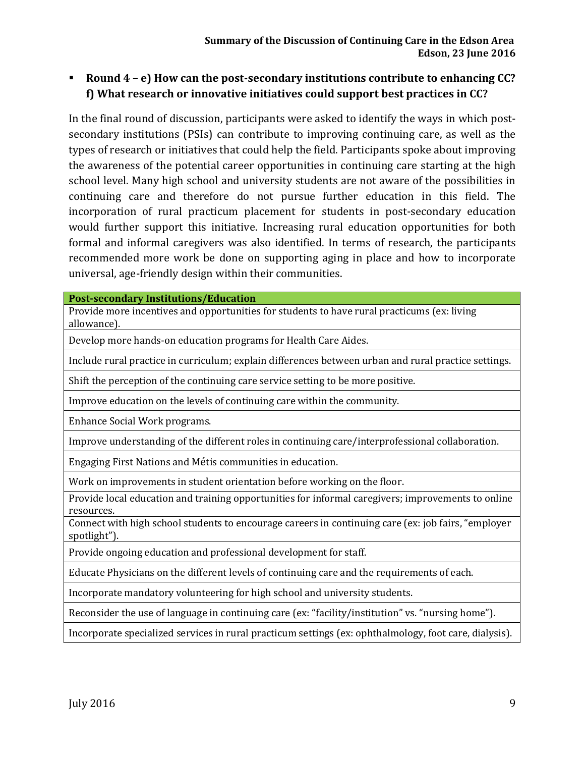### **Round 4 – e) How can the post-secondary institutions contribute to enhancing CC? f) What research or innovative initiatives could support best practices in CC?**

In the final round of discussion, participants were asked to identify the ways in which postsecondary institutions (PSIs) can contribute to improving continuing care, as well as the types of research or initiatives that could help the field. Participants spoke about improving the awareness of the potential career opportunities in continuing care starting at the high school level. Many high school and university students are not aware of the possibilities in continuing care and therefore do not pursue further education in this field. The incorporation of rural practicum placement for students in post-secondary education would further support this initiative. Increasing rural education opportunities for both formal and informal caregivers was also identified. In terms of research, the participants recommended more work be done on supporting aging in place and how to incorporate universal, age-friendly design within their communities.

**Post-secondary Institutions/Education** 

Provide more incentives and opportunities for students to have rural practicums (ex: living allowance).

Develop more hands-on education programs for Health Care Aides.

Include rural practice in curriculum; explain differences between urban and rural practice settings.

Shift the perception of the continuing care service setting to be more positive.

Improve education on the levels of continuing care within the community.

Enhance Social Work programs.

Improve understanding of the different roles in continuing care/interprofessional collaboration.

Engaging First Nations and Métis communities in education.

Work on improvements in student orientation before working on the floor.

Provide local education and training opportunities for informal caregivers; improvements to online resources.

Connect with high school students to encourage careers in continuing care (ex: job fairs, "employer spotlight").

Provide ongoing education and professional development for staff.

Educate Physicians on the different levels of continuing care and the requirements of each.

Incorporate mandatory volunteering for high school and university students.

Reconsider the use of language in continuing care (ex: "facility/institution" vs. "nursing home").

Incorporate specialized services in rural practicum settings (ex: ophthalmology, foot care, dialysis).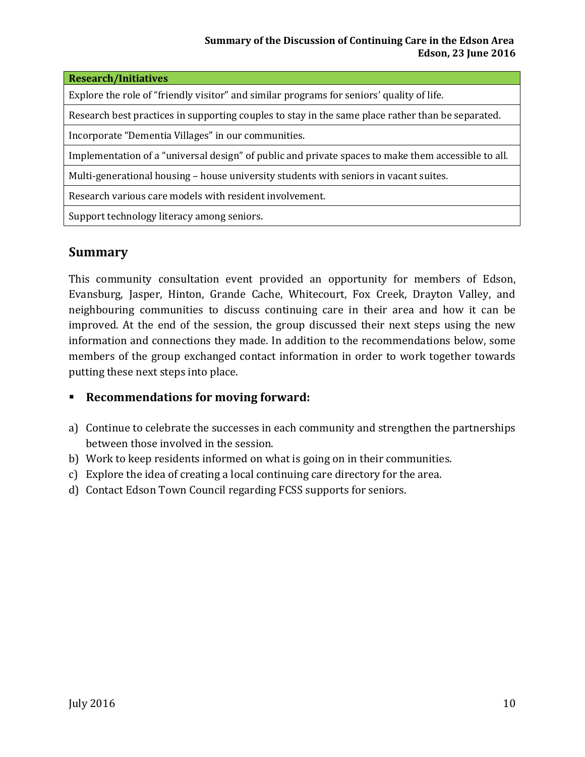| <b>Research/Initiatives</b>                                                                         |  |  |
|-----------------------------------------------------------------------------------------------------|--|--|
| Explore the role of "friendly visitor" and similar programs for seniors' quality of life.           |  |  |
| Research best practices in supporting couples to stay in the same place rather than be separated.   |  |  |
| Incorporate "Dementia Villages" in our communities.                                                 |  |  |
| Implementation of a "universal design" of public and private spaces to make them accessible to all. |  |  |
| Multi-generational housing – house university students with seniors in vacant suites.               |  |  |
| Research various care models with resident involvement.                                             |  |  |
| Support technology literacy among seniors.                                                          |  |  |
|                                                                                                     |  |  |

# **Summary**

This community consultation event provided an opportunity for members of Edson, Evansburg, Jasper, Hinton, Grande Cache, Whitecourt, Fox Creek, Drayton Valley, and neighbouring communities to discuss continuing care in their area and how it can be improved. At the end of the session, the group discussed their next steps using the new information and connections they made. In addition to the recommendations below, some members of the group exchanged contact information in order to work together towards putting these next steps into place.

### **Recommendations for moving forward:**

- a) Continue to celebrate the successes in each community and strengthen the partnerships between those involved in the session.
- b) Work to keep residents informed on what is going on in their communities.
- c) Explore the idea of creating a local continuing care directory for the area.
- d) Contact Edson Town Council regarding FCSS supports for seniors.